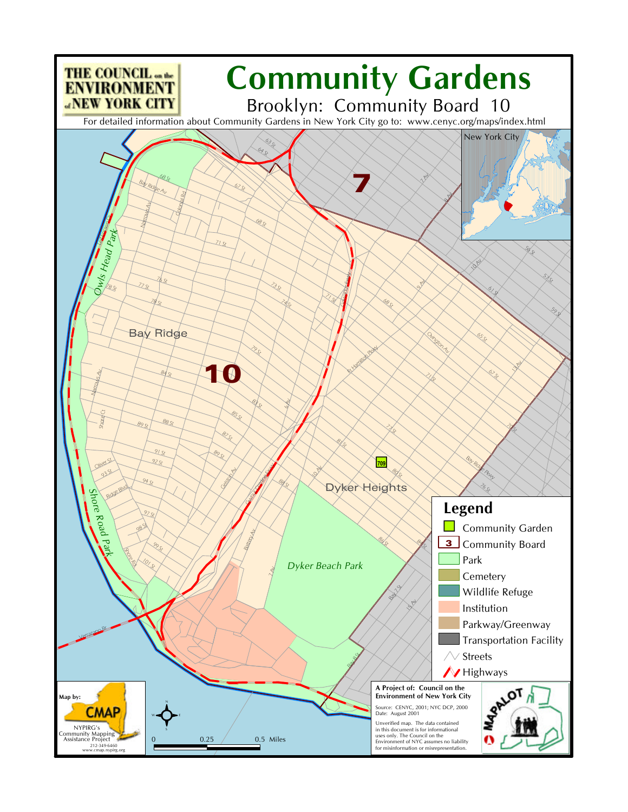